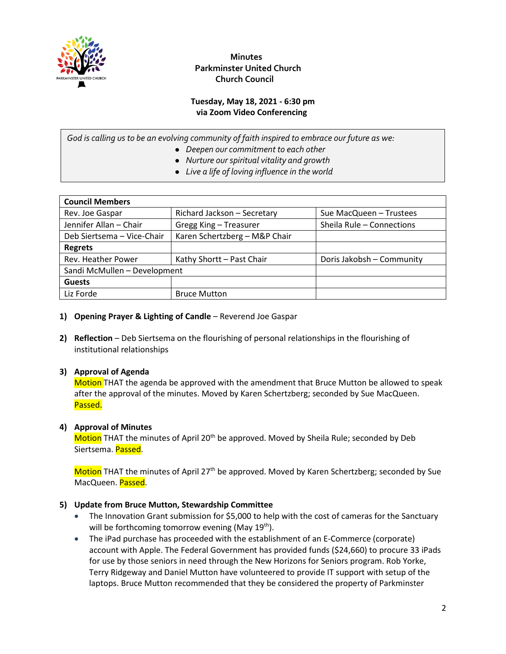

#### **Tuesday, May 18, 2021 - 6:30 pm via Zoom Video Conferencing**

*God is calling us to be an evolving community of faith inspired to embrace our future as we:*

- *Deepen our commitment to each other*
- *Nurture our spiritual vitality and growth*
- *Live a life of loving influence in the world*

| <b>Council Members</b>       |                               |                           |
|------------------------------|-------------------------------|---------------------------|
| Rev. Joe Gaspar              | Richard Jackson - Secretary   | Sue MacQueen - Trustees   |
| Jennifer Allan - Chair       | Gregg King - Treasurer        | Sheila Rule - Connections |
| Deb Siertsema - Vice-Chair   | Karen Schertzberg - M&P Chair |                           |
| <b>Regrets</b>               |                               |                           |
| Rev. Heather Power           | Kathy Shortt - Past Chair     | Doris Jakobsh - Community |
| Sandi McMullen - Development |                               |                           |
| <b>Guests</b>                |                               |                           |
| Liz Forde                    | <b>Bruce Mutton</b>           |                           |

- 1) **Opening Prayer & Lighting of Candle** Reverend Joe Gaspar
- **2) Reflection** Deb Siertsema on the flourishing of personal relationships in the flourishing of institutional relationships

#### **3) Approval of Agenda**

Motion THAT the agenda be approved with the amendment that Bruce Mutton be allowed to speak after the approval of the minutes. Moved by Karen Schertzberg; seconded by Sue MacQueen. Passed.

#### **4) Approval of Minutes**

Motion THAT the minutes of April 20<sup>th</sup> be approved. Moved by Sheila Rule; seconded by Deb Siertsema. Passed.

Motion THAT the minutes of April 27<sup>th</sup> be approved. Moved by Karen Schertzberg; seconded by Sue MacQueen. Passed.

#### **5) Update from Bruce Mutton, Stewardship Committee**

- The Innovation Grant submission for \$5,000 to help with the cost of cameras for the Sanctuary will be forthcoming tomorrow evening (May  $19<sup>th</sup>$ ).
- The iPad purchase has proceeded with the establishment of an E-Commerce (corporate) account with Apple. The Federal Government has provided funds (\$24,660) to procure 33 iPads for use by those seniors in need through the New Horizons for Seniors program. Rob Yorke, Terry Ridgeway and Daniel Mutton have volunteered to provide IT support with setup of the laptops. Bruce Mutton recommended that they be considered the property of Parkminster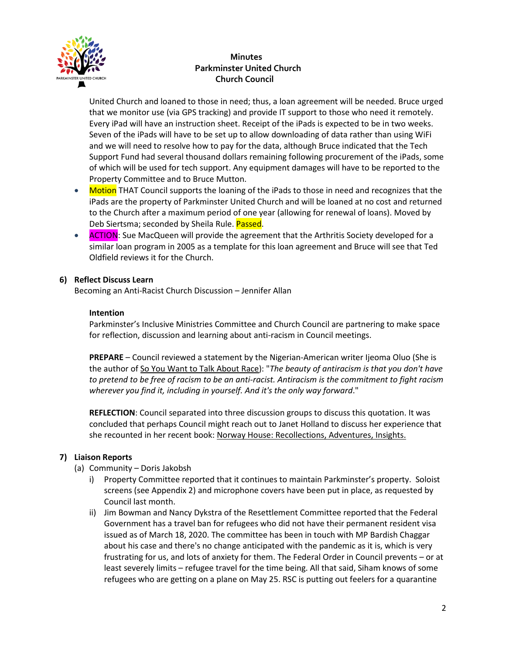

United Church and loaned to those in need; thus, a loan agreement will be needed. Bruce urged that we monitor use (via GPS tracking) and provide IT support to those who need it remotely. Every iPad will have an instruction sheet. Receipt of the iPads is expected to be in two weeks. Seven of the iPads will have to be set up to allow downloading of data rather than using WiFi and we will need to resolve how to pay for the data, although Bruce indicated that the Tech Support Fund had several thousand dollars remaining following procurement of the iPads, some of which will be used for tech support. Any equipment damages will have to be reported to the Property Committee and to Bruce Mutton.

- Motion THAT Council supports the loaning of the iPads to those in need and recognizes that the iPads are the property of Parkminster United Church and will be loaned at no cost and returned to the Church after a maximum period of one year (allowing for renewal of loans). Moved by Deb Siertsma; seconded by Sheila Rule. Passed.
- **ACTION:** Sue MacQueen will provide the agreement that the Arthritis Society developed for a similar loan program in 2005 as a template for this loan agreement and Bruce will see that Ted Oldfield reviews it for the Church.

#### **6) Reflect Discuss Learn**

Becoming an Anti-Racist Church Discussion – Jennifer Allan

#### **Intention**

Parkminster's Inclusive Ministries Committee and Church Council are partnering to make space for reflection, discussion and learning about anti-racism in Council meetings.

**PREPARE** – Council reviewed a statement by the Nigerian-American writer Ijeoma Oluo (She is the author of So You Want to Talk About Race): "*The beauty of antiracism is that you don't have to pretend to be free of racism to be an anti-racist. Antiracism is the commitment to fight racism wherever you find it, including in yourself. And it's the only way forward*."

**REFLECTION**: Council separated into three discussion groups to discuss this quotation. It was concluded that perhaps Council might reach out to Janet Holland to discuss her experience that she recounted in her recent book: Norway House: Recollections, Adventures, Insights.

#### **7) Liaison Reports**

- (a) Community Doris Jakobsh
	- i) Property Committee reported that it continues to maintain Parkminster's property. Soloist screens (see Appendix 2) and microphone covers have been put in place, as requested by Council last month.
	- ii) Jim Bowman and Nancy Dykstra of the Resettlement Committee reported that the Federal Government has a travel ban for refugees who did not have their permanent resident visa issued as of March 18, 2020. The committee has been in touch with MP Bardish Chaggar about his case and there's no change anticipated with the pandemic as it is, which is very frustrating for us, and lots of anxiety for them. The Federal Order in Council prevents – or at least severely limits – refugee travel for the time being. All that said, Siham knows of some refugees who are getting on a plane on May 25. RSC is putting out feelers for a quarantine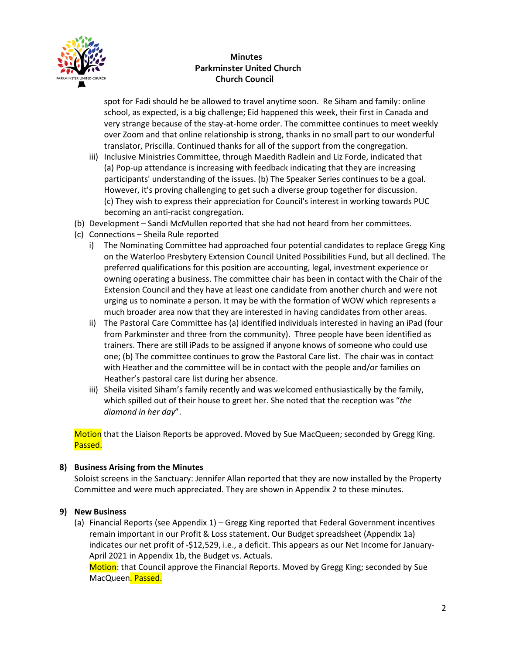

spot for Fadi should he be allowed to travel anytime soon. Re Siham and family: online school, as expected, is a big challenge; Eid happened this week, their first in Canada and very strange because of the stay-at-home order. The committee continues to meet weekly over Zoom and that online relationship is strong, thanks in no small part to our wonderful translator, Priscilla. Continued thanks for all of the support from the congregation.

- iii) Inclusive Ministries Committee, through Maedith Radlein and Liz Forde, indicated that (a) Pop-up attendance is increasing with feedback indicating that they are increasing participants' understanding of the issues. (b) The Speaker Series continues to be a goal. However, it's proving challenging to get such a diverse group together for discussion. (c) They wish to express their appreciation for Council's interest in working towards PUC becoming an anti-racist congregation.
- (b) Development Sandi McMullen reported that she had not heard from her committees.
- (c) Connections Sheila Rule reported
	- i) The Nominating Committee had approached four potential candidates to replace Gregg King on the Waterloo Presbytery Extension Council United Possibilities Fund, but all declined. The preferred qualifications for this position are accounting, legal, investment experience or owning operating a business. The committee chair has been in contact with the Chair of the Extension Council and they have at least one candidate from another church and were not urging us to nominate a person. It may be with the formation of WOW which represents a much broader area now that they are interested in having candidates from other areas.
	- ii) The Pastoral Care Committee has (a) identified individuals interested in having an iPad (four from Parkminster and three from the community). Three people have been identified as trainers. There are still iPads to be assigned if anyone knows of someone who could use one; (b) The committee continues to grow the Pastoral Care list. The chair was in contact with Heather and the committee will be in contact with the people and/or families on Heather's pastoral care list during her absence.
	- iii) Sheila visited Siham's family recently and was welcomed enthusiastically by the family, which spilled out of their house to greet her. She noted that the reception was "*the diamond in her day*".

Motion that the Liaison Reports be approved. Moved by Sue MacQueen; seconded by Gregg King. Passed.

#### **8) Business Arising from the Minutes**

Soloist screens in the Sanctuary: Jennifer Allan reported that they are now installed by the Property Committee and were much appreciated. They are shown in Appendix 2 to these minutes.

#### **9) New Business**

(a) Financial Reports (see Appendix 1) – Gregg King reported that Federal Government incentives remain important in our Profit & Loss statement. Our Budget spreadsheet (Appendix 1a) indicates our net profit of -\$12,529, i.e., a deficit. This appears as our Net Income for January-April 2021 in Appendix 1b, the Budget vs. Actuals.

Motion: that Council approve the Financial Reports. Moved by Gregg King; seconded by Sue MacQueen. Passed.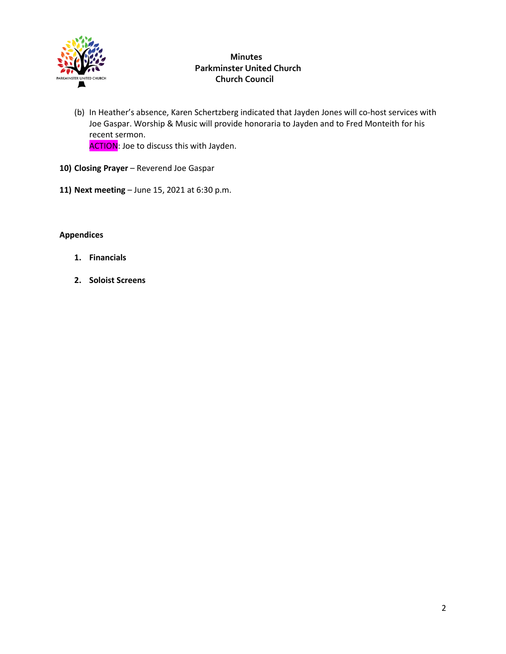

- (b) In Heather's absence, Karen Schertzberg indicated that Jayden Jones will co-host services with Joe Gaspar. Worship & Music will provide honoraria to Jayden and to Fred Monteith for his recent sermon. ACTION: Joe to discuss this with Jayden.
- 10) Closing Prayer Reverend Joe Gaspar
- **11) Next meeting** June 15, 2021 at 6:30 p.m.

#### **Appendices**

- **1. Financials**
- **2. Soloist Screens**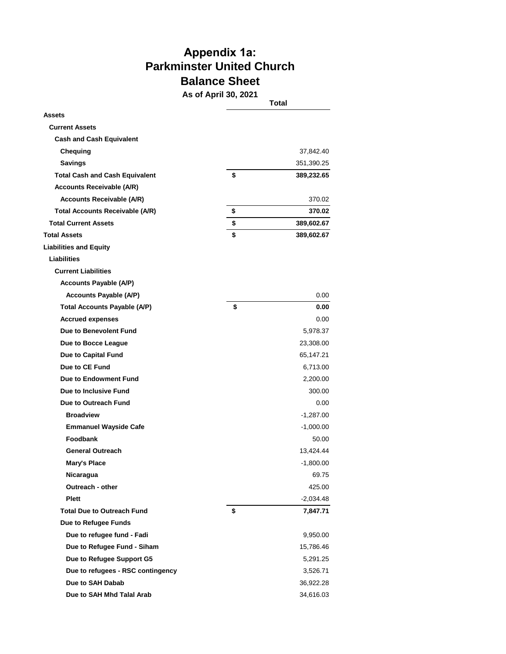# **Appendix 1a: Parkminster United Church Balance Sheet**

**As of April 30, 2021**

|                                        | ו שט, געט וועך וט פר | Total       |
|----------------------------------------|----------------------|-------------|
| Assets                                 |                      |             |
| <b>Current Assets</b>                  |                      |             |
| <b>Cash and Cash Equivalent</b>        |                      |             |
| Chequing                               |                      | 37,842.40   |
| <b>Savings</b>                         |                      | 351,390.25  |
| <b>Total Cash and Cash Equivalent</b>  | \$                   | 389,232.65  |
| <b>Accounts Receivable (A/R)</b>       |                      |             |
| <b>Accounts Receivable (A/R)</b>       |                      | 370.02      |
| <b>Total Accounts Receivable (A/R)</b> | \$                   | 370.02      |
| <b>Total Current Assets</b>            | \$                   | 389,602.67  |
| <b>Total Assets</b>                    | \$                   | 389,602.67  |
| <b>Liabilities and Equity</b>          |                      |             |
| <b>Liabilities</b>                     |                      |             |
| <b>Current Liabilities</b>             |                      |             |
| <b>Accounts Payable (A/P)</b>          |                      |             |
| <b>Accounts Payable (A/P)</b>          |                      | 0.00        |
| <b>Total Accounts Payable (A/P)</b>    | \$                   | 0.00        |
| <b>Accrued expenses</b>                |                      | 0.00        |
| Due to Benevolent Fund                 |                      | 5,978.37    |
| Due to Bocce League                    |                      | 23,308.00   |
| Due to Capital Fund                    |                      | 65,147.21   |
| Due to CE Fund                         |                      | 6,713.00    |
| <b>Due to Endowment Fund</b>           |                      | 2,200.00    |
| Due to Inclusive Fund                  |                      | 300.00      |
| Due to Outreach Fund                   |                      | 0.00        |
| <b>Broadview</b>                       |                      | $-1,287.00$ |
| <b>Emmanuel Wayside Cafe</b>           |                      | $-1,000.00$ |
| Foodbank                               |                      | 50.00       |
| <b>General Outreach</b>                |                      | 13,424.44   |
| Mary's Place                           |                      | $-1,800.00$ |
| Nicaragua                              |                      | 69.75       |
| Outreach - other                       |                      | 425.00      |
| <b>Plett</b>                           |                      | -2,034.48   |
| <b>Total Due to Outreach Fund</b>      | \$                   | 7,847.71    |
| <b>Due to Refugee Funds</b>            |                      |             |
| Due to refugee fund - Fadi             |                      | 9,950.00    |
| Due to Refugee Fund - Siham            |                      | 15,786.46   |
| Due to Refugee Support G5              |                      | 5,291.25    |
| Due to refugees - RSC contingency      |                      | 3,526.71    |
| Due to SAH Dabab                       |                      | 36,922.28   |
| Due to SAH Mhd Talal Arab              |                      | 34,616.03   |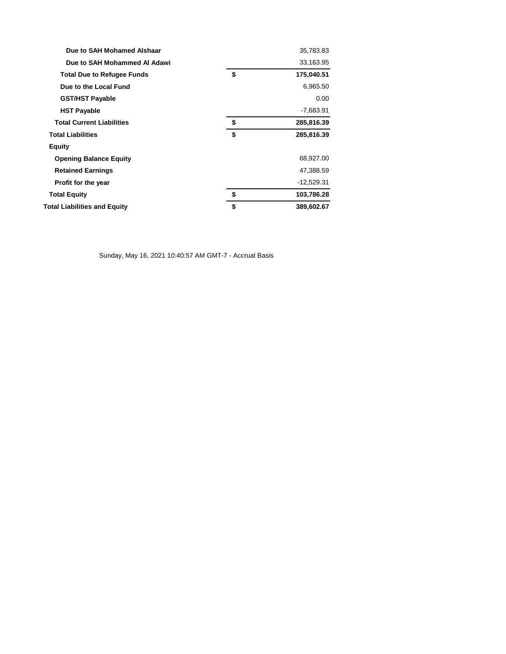| Due to SAH Mohamed Alshaar          | 35,783.83        |
|-------------------------------------|------------------|
| Due to SAH Mohammed Al Adawi        | 33,163.95        |
| <b>Total Due to Refugee Funds</b>   | \$<br>175,040.51 |
| Due to the Local Fund               | 6,965.50         |
| <b>GST/HST Payable</b>              | 0.00             |
| <b>HST Payable</b>                  | $-7,683.91$      |
| <b>Total Current Liabilities</b>    | \$<br>285,816.39 |
| <b>Total Liabilities</b>            | \$<br>285,816.39 |
| Equity                              |                  |
| <b>Opening Balance Equity</b>       | 68,927.00        |
| <b>Retained Earnings</b>            | 47,388.59        |
| Profit for the year                 | $-12,529.31$     |
| <b>Total Equity</b>                 | \$<br>103,786.28 |
| <b>Total Liabilities and Equity</b> | \$<br>389,602.67 |
|                                     |                  |

Sunday, May 16, 2021 10:40:57 AM GMT-7 - Accrual Basis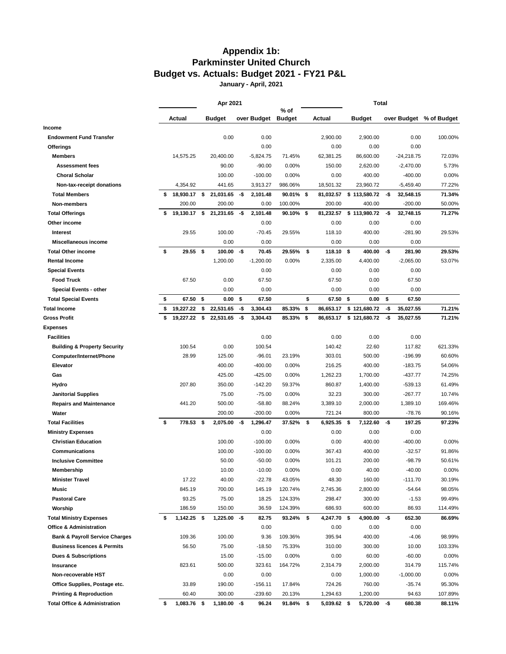# **Appendix 1b: Parkminster United Church Budget vs. Actuals: Budget 2021 - FY21 P&L**

**January - April, 2021**

|                                           |    | Apr 2021    |      |                |     |             |                       |      |             |    | <b>Total</b>   |     |              |                         |
|-------------------------------------------|----|-------------|------|----------------|-----|-------------|-----------------------|------|-------------|----|----------------|-----|--------------|-------------------------|
|                                           |    | Actual      |      | <b>Budget</b>  |     | over Budget | % of<br><b>Budget</b> |      | Actual      |    | <b>Budget</b>  |     |              | over Budget % of Budget |
| Income                                    |    |             |      |                |     |             |                       |      |             |    |                |     |              |                         |
| <b>Endowment Fund Transfer</b>            |    |             |      | 0.00           |     | 0.00        |                       |      | 2,900.00    |    | 2,900.00       |     | 0.00         | 100.00%                 |
| Offerings                                 |    |             |      |                |     | 0.00        |                       |      | 0.00        |    | 0.00           |     | 0.00         |                         |
| <b>Members</b>                            |    | 14,575.25   |      | 20,400.00      |     | $-5,824.75$ | 71.45%                |      | 62,381.25   |    | 86,600.00      |     | $-24,218.75$ | 72.03%                  |
| <b>Assessment fees</b>                    |    |             |      | 90.00          |     | $-90.00$    | 0.00%                 |      | 150.00      |    | 2,620.00       |     | $-2,470.00$  | 5.73%                   |
| <b>Choral Scholar</b>                     |    |             |      | 100.00         |     | $-100.00$   | 0.00%                 |      | 0.00        |    | 400.00         |     | $-400.00$    | 0.00%                   |
| Non-tax-receipt donations                 |    | 4,354.92    |      | 441.65         |     | 3,913.27    | 986.06%               |      | 18,501.32   |    | 23,960.72      |     | $-5,459.40$  | 77.22%                  |
| <b>Total Members</b>                      | s  | 18,930.17   | \$   | 21,031.65      | -\$ | 2,101.48    | 90.01%                | \$   | 81,032.57   |    | \$113,580.72   | -\$ | 32,548.15    | 71.34%                  |
| Non-members                               |    | 200.00      |      | 200.00         |     | 0.00        | 100.00%               |      | 200.00      |    | 400.00         |     | $-200.00$    | 50.00%                  |
| <b>Total Offerings</b>                    | \$ | 19,130.17   | \$   | 21,231.65      | -\$ | 2,101.48    | 90.10%                | -\$  | 81,232.57   |    | \$113,980.72   | -\$ | 32,748.15    | 71.27%                  |
| Other income                              |    |             |      |                |     | 0.00        |                       |      | 0.00        |    | 0.00           |     | 0.00         |                         |
| Interest                                  |    | 29.55       |      | 100.00         |     | $-70.45$    | 29.55%                |      | 118.10      |    | 400.00         |     | $-281.90$    | 29.53%                  |
| Miscellaneous income                      |    |             |      | 0.00           |     | 0.00        |                       |      | 0.00        |    | 0.00           |     | 0.00         |                         |
| <b>Total Other income</b>                 | \$ | 29.55       | - \$ | 100.00         | -\$ | 70.45       | 29.55%                | \$   | 118.10 \$   |    | 400.00         | -\$ | 281.90       | 29.53%                  |
| <b>Rental Income</b>                      |    |             |      | 1,200.00       |     | $-1,200.00$ | 0.00%                 |      | 2,335.00    |    | 4,400.00       |     | $-2,065.00$  | 53.07%                  |
| <b>Special Events</b>                     |    |             |      |                |     | 0.00        |                       |      | 0.00        |    | 0.00           |     | 0.00         |                         |
| <b>Food Truck</b>                         |    | 67.50       |      | 0.00           |     | 67.50       |                       |      | 67.50       |    | 0.00           |     | 67.50        |                         |
| <b>Special Events - other</b>             |    |             |      | 0.00           |     | 0.00        |                       |      | 0.00        |    | 0.00           |     | 0.00         |                         |
| <b>Total Special Events</b>               | \$ | 67.50       | \$   | 0.00           | \$  | 67.50       |                       | \$   | 67.50       | \$ | 0.00           | \$  | 67.50        |                         |
| Total Income                              | \$ | 19,227.22   | \$   | 22,531.65      | -\$ | 3,304.43    | 85.33%                | \$   | 86,653.17   |    | \$121,680.72   | -\$ | 35,027.55    | 71.21%                  |
| <b>Gross Profit</b>                       | \$ | 19,227.22   | \$   | 22,531.65      | -\$ | 3,304.43    | 85.33%                | - \$ | 86,653.17   |    | \$121,680.72   | -\$ | 35,027.55    | 71.21%                  |
| Expenses                                  |    |             |      |                |     |             |                       |      |             |    |                |     |              |                         |
| <b>Facilities</b>                         |    |             |      |                |     | 0.00        |                       |      | 0.00        |    | 0.00           |     | 0.00         |                         |
| <b>Building &amp; Property Security</b>   |    | 100.54      |      | 0.00           |     | 100.54      |                       |      | 140.42      |    | 22.60          |     | 117.82       | 621.33%                 |
| Computer/Internet/Phone                   |    | 28.99       |      | 125.00         |     | $-96.01$    | 23.19%                |      | 303.01      |    | 500.00         |     | $-196.99$    | 60.60%                  |
| Elevator                                  |    |             |      | 400.00         |     | $-400.00$   | 0.00%                 |      | 216.25      |    | 400.00         |     | $-183.75$    | 54.06%                  |
| Gas                                       |    |             |      | 425.00         |     | $-425.00$   | 0.00%                 |      | 1,262.23    |    | 1,700.00       |     | $-437.77$    | 74.25%                  |
| Hydro                                     |    | 207.80      |      | 350.00         |     | $-142.20$   | 59.37%                |      | 860.87      |    | 1,400.00       |     | $-539.13$    | 61.49%                  |
| <b>Janitorial Supplies</b>                |    |             |      | 75.00          |     | $-75.00$    | 0.00%                 |      | 32.23       |    | 300.00         |     | $-267.77$    | 10.74%                  |
| <b>Repairs and Maintenance</b>            |    | 441.20      |      | 500.00         |     | $-58.80$    | 88.24%                |      | 3,389.10    |    | 2,000.00       |     | 1,389.10     | 169.46%                 |
| Water                                     |    |             |      | 200.00         |     | $-200.00$   | 0.00%                 |      | 721.24      |    | 800.00         |     | $-78.76$     | 90.16%                  |
| <b>Total Facilities</b>                   | \$ | 778.53      | -\$  | 2,075.00       | -\$ | 1,296.47    | 37.52%                | \$   | 6,925.35 \$ |    | 7,122.60       | -\$ | 197.25       | 97.23%                  |
| <b>Ministry Expenses</b>                  |    |             |      |                |     | 0.00        |                       |      | 0.00        |    | 0.00           |     | 0.00         |                         |
| <b>Christian Education</b>                |    |             |      | 100.00         |     | $-100.00$   | 0.00%                 |      | 0.00        |    | 400.00         |     | $-400.00$    | 0.00%                   |
| Communications                            |    |             |      | 100.00         |     | $-100.00$   | 0.00%                 |      | 367.43      |    | 400.00         |     | $-32.57$     | 91.86%                  |
| <b>Inclusive Committee</b>                |    |             |      | 50.00          |     | $-50.00$    | 0.00%                 |      | 101.21      |    | 200.00         |     | $-98.79$     | 50.61%                  |
| Membership                                |    |             |      | 10.00          |     | $-10.00$    | 0.00%                 |      | 0.00        |    | 40.00          |     | $-40.00$     | 0.00%                   |
| <b>Minister Travel</b>                    |    | 17.22       |      | 40.00          |     | $-22.78$    | 43.05%                |      | 48.30       |    | 160.00         |     | $-111.70$    | 30.19%                  |
| Music                                     |    | 845.19      |      | 700.00         |     | 145.19      | 120.74%               |      | 2,745.36    |    | 2,800.00       |     | $-54.64$     | 98.05%                  |
| <b>Pastoral Care</b>                      |    | 93.25       |      | 75.00          |     | 18.25       | 124.33%               |      | 298.47      |    | 300.00         |     | $-1.53$      | 99.49%                  |
| Worship                                   |    | 186.59      |      | 150.00         |     | 36.59       | 124.39%               |      | 686.93      |    | 600.00         |     | 86.93        | 114.49%                 |
| <b>Total Ministry Expenses</b>            | \$ | 1,142.25 \$ |      | $1,225.00 - $$ |     | 82.75       | 93.24%                | \$   | 4,247.70 \$ |    | $4,900.00 - $$ |     | 652.30       | 86.69%                  |
| <b>Office &amp; Administration</b>        |    |             |      |                |     | 0.00        |                       |      | 0.00        |    | 0.00           |     | 0.00         |                         |
| <b>Bank &amp; Payroll Service Charges</b> |    | 109.36      |      | 100.00         |     | 9.36        | 109.36%               |      | 395.94      |    | 400.00         |     | $-4.06$      | 98.99%                  |
| <b>Business licences &amp; Permits</b>    |    | 56.50       |      | 75.00          |     | $-18.50$    | 75.33%                |      | 310.00      |    | 300.00         |     | 10.00        | 103.33%                 |
| <b>Dues &amp; Subscriptions</b>           |    |             |      | 15.00          |     | $-15.00$    | 0.00%                 |      | 0.00        |    | 60.00          |     | $-60.00$     | 0.00%                   |
| Insurance                                 |    | 823.61      |      | 500.00         |     | 323.61      | 164.72%               |      | 2,314.79    |    | 2,000.00       |     | 314.79       | 115.74%                 |
| Non-recoverable HST                       |    |             |      | 0.00           |     | 0.00        |                       |      | 0.00        |    | 1,000.00       |     | $-1,000.00$  | 0.00%                   |
| Office Supplies, Postage etc.             |    | 33.89       |      | 190.00         |     | -156.11     | 17.84%                |      | 724.26      |    | 760.00         |     | $-35.74$     | 95.30%                  |
| <b>Printing &amp; Reproduction</b>        |    | 60.40       |      | 300.00         |     | $-239.60$   | 20.13%                |      | 1,294.63    |    | 1,200.00       |     | 94.63        | 107.89%                 |
| <b>Total Office &amp; Administration</b>  | \$ | 1,083.76 \$ |      | $1,180.00 - $$ |     | 96.24       | 91.84%                | \$   | 5,039.62 \$ |    | $5,720.00 - $$ |     | 680.38       | 88.11%                  |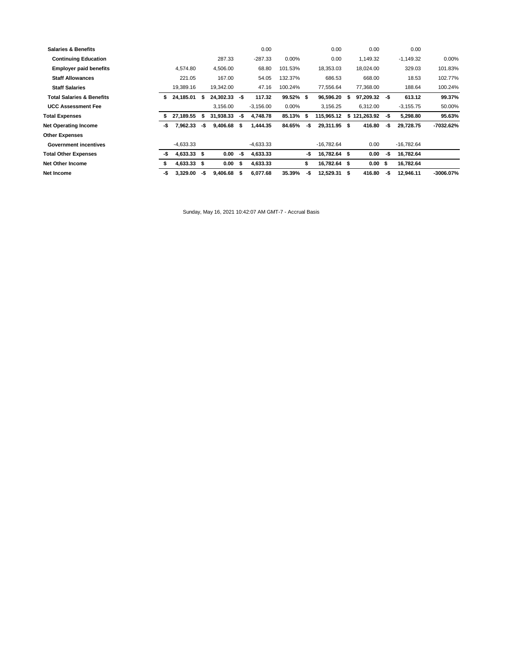| <b>Salaries &amp; Benefits</b>       |     |               |     |           |     | 0.00        |           |     | 0.00         |   | 0.00       |      | 0.00         |           |
|--------------------------------------|-----|---------------|-----|-----------|-----|-------------|-----------|-----|--------------|---|------------|------|--------------|-----------|
| <b>Continuing Education</b>          |     |               |     | 287.33    |     | $-287.33$   | 0.00%     |     | 0.00         |   | 1,149.32   |      | $-1,149.32$  | 0.00%     |
| <b>Employer paid benefits</b>        |     | 4.574.80      |     | 4,506.00  |     | 68.80       | 101.53%   |     | 18,353.03    |   | 18,024.00  |      | 329.03       | 101.83%   |
| <b>Staff Allowances</b>              |     | 221.05        |     | 167.00    |     | 54.05       | 132.37%   |     | 686.53       |   | 668.00     |      | 18.53        | 102.77%   |
| <b>Staff Salaries</b>                |     | 19.389.16     |     | 19,342.00 |     | 47.16       | 100.24%   |     | 77,556.64    |   | 77,368.00  |      | 188.64       | 100.24%   |
| <b>Total Salaries &amp; Benefits</b> | s.  | 24,185.01     | S   | 24,302.33 | -\$ | 117.32      | 99.52% \$ |     | 96,596.20    | S | 97,209.32  | -\$  | 613.12       | 99.37%    |
| <b>UCC Assessment Fee</b>            |     |               |     | 3,156.00  |     | $-3,156.00$ | 0.00%     |     | 3,156.25     |   | 6.312.00   |      | $-3,155.75$  | 50.00%    |
| <b>Total Expenses</b>                |     | 27,189.55     | S   | 31,938.33 | -\$ | 4,748.78    | 85.13%    | s   | 115.965.12   | s | 121,263.92 | -\$  | 5,298.80     | 95.63%    |
| <b>Net Operating Income</b>          |     |               |     |           |     |             |           |     |              |   |            |      |              |           |
|                                      | -\$ | 7,962.33      | -\$ | 9,406.68  | \$  | 1.444.35    | 84.65%    | -\$ | 29,311.95 \$ |   | 416.80     | -\$  | 29.728.75    | -7032.62% |
| <b>Other Expenses</b>                |     |               |     |           |     |             |           |     |              |   |            |      |              |           |
| <b>Government incentives</b>         |     | $-4.633.33$   |     |           |     | $-4.633.33$ |           |     | $-16.782.64$ |   | 0.00       |      | $-16,782.64$ |           |
| <b>Total Other Expenses</b>          | -\$ | $4.633.33$ \$ |     | 0.00      | -\$ | 4,633.33    |           | -\$ | 16,782.64 \$ |   | 0.00       | -\$  | 16,782.64    |           |
| <b>Net Other Income</b>              |     | 4,633.33 \$   |     | 0.00      | \$  | 4,633.33    |           | \$  | 16,782.64 \$ |   | 0.00       | - \$ | 16,782.64    |           |

Sunday, May 16, 2021 10:42:07 AM GMT-7 - Accrual Basis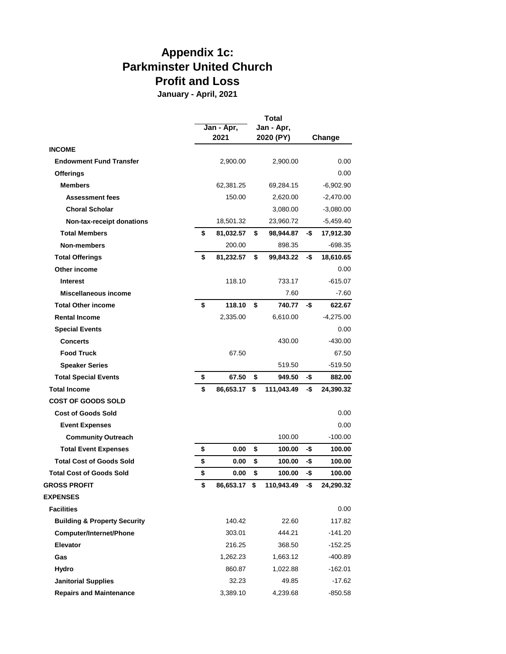# **Appendix 1c: Parkminster United Church Profit and Loss**

**January - April, 2021**

|                                         |                    |     | <b>Total</b>            |     |             |
|-----------------------------------------|--------------------|-----|-------------------------|-----|-------------|
|                                         | Jan - Apr,<br>2021 |     | Jan - Apr.<br>2020 (PY) |     | Change      |
| <b>INCOME</b>                           |                    |     |                         |     |             |
| <b>Endowment Fund Transfer</b>          | 2,900.00           |     | 2,900.00                |     | 0.00        |
| <b>Offerings</b>                        |                    |     |                         |     | 0.00        |
| <b>Members</b>                          | 62,381.25          |     | 69,284.15               |     | $-6,902.90$ |
| <b>Assessment fees</b>                  | 150.00             |     | 2,620.00                |     | $-2,470.00$ |
| <b>Choral Scholar</b>                   |                    |     | 3,080.00                |     | $-3,080.00$ |
| Non-tax-receipt donations               | 18,501.32          |     | 23,960.72               |     | -5,459.40   |
| <b>Total Members</b>                    | \$<br>81,032.57    | \$  | 98,944.87               | -\$ | 17,912.30   |
| Non-members                             | 200.00             |     | 898.35                  |     | $-698.35$   |
| <b>Total Offerings</b>                  | \$<br>81,232.57    | \$  | 99,843.22               | -\$ | 18,610.65   |
| Other income                            |                    |     |                         |     | 0.00        |
| <b>Interest</b>                         | 118.10             |     | 733.17                  |     | $-615.07$   |
| Miscellaneous income                    |                    |     | 7.60                    |     | $-7.60$     |
| <b>Total Other income</b>               | \$<br>118.10       | \$  | 740.77                  | -\$ | 622.67      |
| <b>Rental Income</b>                    | 2,335.00           |     | 6,610.00                |     | $-4,275.00$ |
| <b>Special Events</b>                   |                    |     |                         |     | 0.00        |
| <b>Concerts</b>                         |                    |     | 430.00                  |     | $-430.00$   |
| <b>Food Truck</b>                       | 67.50              |     |                         |     | 67.50       |
| <b>Speaker Series</b>                   |                    |     | 519.50                  |     | $-519.50$   |
| <b>Total Special Events</b>             | \$<br>67.50        | \$  | 949.50                  | -\$ | 882.00      |
| <b>Total Income</b>                     | \$<br>86,653.17    | \$  | 111,043.49              | -\$ | 24,390.32   |
| <b>COST OF GOODS SOLD</b>               |                    |     |                         |     |             |
| <b>Cost of Goods Sold</b>               |                    |     |                         |     | 0.00        |
| <b>Event Expenses</b>                   |                    |     |                         |     | 0.00        |
| <b>Community Outreach</b>               |                    |     | 100.00                  |     | -100.00     |
| <b>Total Event Expenses</b>             | \$<br>0.00         | \$  | 100.00                  | -\$ | 100.00      |
| <b>Total Cost of Goods Sold</b>         | \$<br>0.00         | \$  | 100.00                  | -\$ | 100.00      |
| <b>Total Cost of Goods Sold</b>         | \$<br>0.00         | \$  | 100.00                  | -\$ | 100.00      |
| <b>GROSS PROFIT</b>                     | \$<br>86,653.17    | -\$ | 110,943.49              | .ቁ  | 24,290.32   |
| <b>EXPENSES</b>                         |                    |     |                         |     |             |
| <b>Facilities</b>                       |                    |     |                         |     | 0.00        |
| <b>Building &amp; Property Security</b> | 140.42             |     | 22.60                   |     | 117.82      |
| Computer/Internet/Phone                 | 303.01             |     | 444.21                  |     | $-141.20$   |
| <b>Elevator</b>                         | 216.25             |     | 368.50                  |     | $-152.25$   |
| Gas                                     | 1,262.23           |     | 1,663.12                |     | $-400.89$   |
| Hydro                                   | 860.87             |     | 1,022.88                |     | $-162.01$   |
| <b>Janitorial Supplies</b>              | 32.23              |     | 49.85                   |     | $-17.62$    |
| <b>Repairs and Maintenance</b>          | 3,389.10           |     | 4,239.68                |     | $-850.58$   |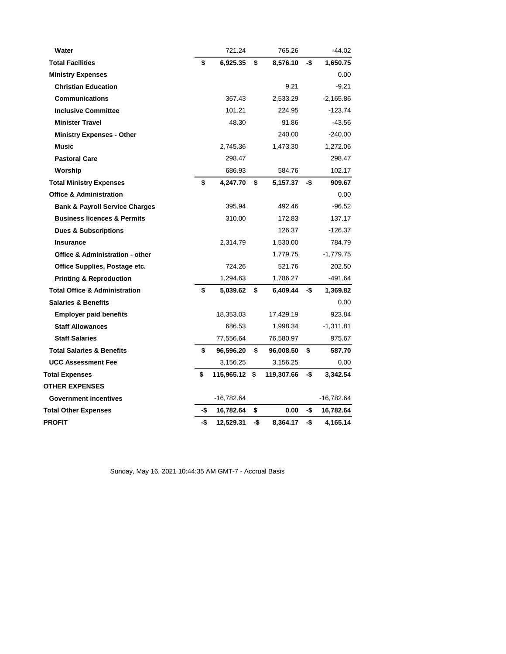| Water                                      |     | 721.24        |     | 765.26     |     | $-44.02$    |
|--------------------------------------------|-----|---------------|-----|------------|-----|-------------|
| <b>Total Facilities</b>                    | \$  | 6,925.35      | \$  | 8,576.10   | -\$ | 1,650.75    |
| <b>Ministry Expenses</b>                   |     |               |     |            |     | 0.00        |
| <b>Christian Education</b>                 |     |               |     | 9.21       |     | $-9.21$     |
| <b>Communications</b>                      |     | 367.43        |     | 2,533.29   |     | $-2,165.86$ |
| <b>Inclusive Committee</b>                 |     | 101.21        |     | 224.95     |     | -123.74     |
| <b>Minister Travel</b>                     |     | 48.30         |     | 91.86      |     | -43.56      |
| <b>Ministry Expenses - Other</b>           |     |               |     | 240.00     |     | $-240.00$   |
| Music                                      |     | 2,745.36      |     | 1,473.30   |     | 1,272.06    |
| <b>Pastoral Care</b>                       |     | 298.47        |     |            |     | 298.47      |
| Worship                                    |     | 686.93        |     | 584.76     |     | 102.17      |
| <b>Total Ministry Expenses</b>             | \$  | 4,247.70      | \$  | 5,157.37   | -\$ | 909.67      |
| <b>Office &amp; Administration</b>         |     |               |     |            |     | 0.00        |
| <b>Bank &amp; Payroll Service Charges</b>  |     | 395.94        |     | 492.46     |     | $-96.52$    |
| <b>Business licences &amp; Permits</b>     |     | 310.00        |     | 172.83     |     | 137.17      |
| <b>Dues &amp; Subscriptions</b>            |     |               |     | 126.37     |     | $-126.37$   |
| <b>Insurance</b>                           |     | 2,314.79      |     | 1,530.00   |     | 784.79      |
| <b>Office &amp; Administration - other</b> |     |               |     | 1,779.75   |     | $-1,779.75$ |
| Office Supplies, Postage etc.              |     | 724.26        |     | 521.76     |     | 202.50      |
| <b>Printing &amp; Reproduction</b>         |     | 1,294.63      |     | 1,786.27   |     | -491.64     |
| <b>Total Office &amp; Administration</b>   | \$  | 5,039.62      | \$  | 6,409.44   | -\$ | 1,369.82    |
| <b>Salaries &amp; Benefits</b>             |     |               |     |            |     | 0.00        |
| <b>Employer paid benefits</b>              |     | 18,353.03     |     | 17,429.19  |     | 923.84      |
| <b>Staff Allowances</b>                    |     | 686.53        |     | 1,998.34   |     | $-1,311.81$ |
| <b>Staff Salaries</b>                      |     | 77,556.64     |     | 76,580.97  |     | 975.67      |
| <b>Total Salaries &amp; Benefits</b>       | \$  | 96,596.20     | \$  | 96,008.50  | \$  | 587.70      |
| <b>UCC Assessment Fee</b>                  |     | 3,156.25      |     | 3,156.25   |     | 0.00        |
| <b>Total Expenses</b>                      | \$  | 115,965.12 \$ |     | 119,307.66 | -\$ | 3,342.54    |
| <b>OTHER EXPENSES</b>                      |     |               |     |            |     |             |
| <b>Government incentives</b>               |     | $-16,782.64$  |     |            |     | -16,782.64  |
| <b>Total Other Expenses</b>                | -\$ | 16,782.64     | \$  | 0.00       | -\$ | 16,782.64   |
| PROFIT                                     | -\$ | 12.529.31     | -\$ | 8,364.17   | -\$ | 4,165.14    |

Sunday, May 16, 2021 10:44:35 AM GMT-7 - Accrual Basis